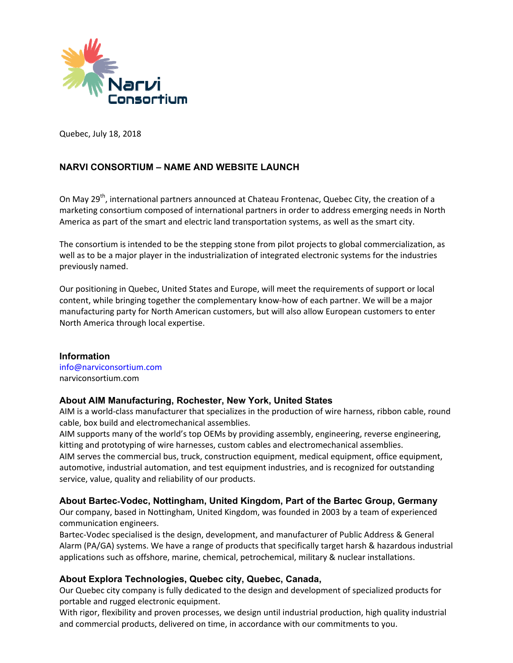

Quebec, July 18, 2018

# **NARVI CONSORTIUM – NAME AND WEBSITE LAUNCH**

On May 29<sup>th</sup>, international partners announced at Chateau Frontenac, Quebec City, the creation of a marketing consortium composed of international partners in order to address emerging needs in North America as part of the smart and electric land transportation systems, as well as the smart city.

The consortium is intended to be the stepping stone from pilot projects to global commercialization, as well as to be a major player in the industrialization of integrated electronic systems for the industries previously named.

Our positioning in Quebec, United States and Europe, will meet the requirements of support or local content, while bringing together the complementary know‐how of each partner. We will be a major manufacturing party for North American customers, but will also allow European customers to enter North America through local expertise.

### **Information**

info@narviconsortium.com narviconsortium.com

### **About AIM Manufacturing, Rochester, New York, United States**

AIM is a world‐class manufacturer that specializes in the production of wire harness, ribbon cable, round cable, box build and electromechanical assemblies.

AIM supports many of the world's top OEMs by providing assembly, engineering, reverse engineering, kitting and prototyping of wire harnesses, custom cables and electromechanical assemblies.

AIM serves the commercial bus, truck, construction equipment, medical equipment, office equipment, automotive, industrial automation, and test equipment industries, and is recognized for outstanding service, value, quality and reliability of our products.

### **About Bartec**-**Vodec, Nottingham, United Kingdom, Part of the Bartec Group, Germany**

Our company, based in Nottingham, United Kingdom, was founded in 2003 by a team of experienced communication engineers.

Bartec‐Vodec specialised is the design, development, and manufacturer of Public Address & General Alarm (PA/GA) systems. We have a range of products that specifically target harsh & hazardous industrial applications such as offshore, marine, chemical, petrochemical, military & nuclear installations.

### **About Explora Technologies, Quebec city, Quebec, Canada,**

Our Quebec city company is fully dedicated to the design and development of specialized products for portable and rugged electronic equipment.

With rigor, flexibility and proven processes, we design until industrial production, high quality industrial and commercial products, delivered on time, in accordance with our commitments to you.